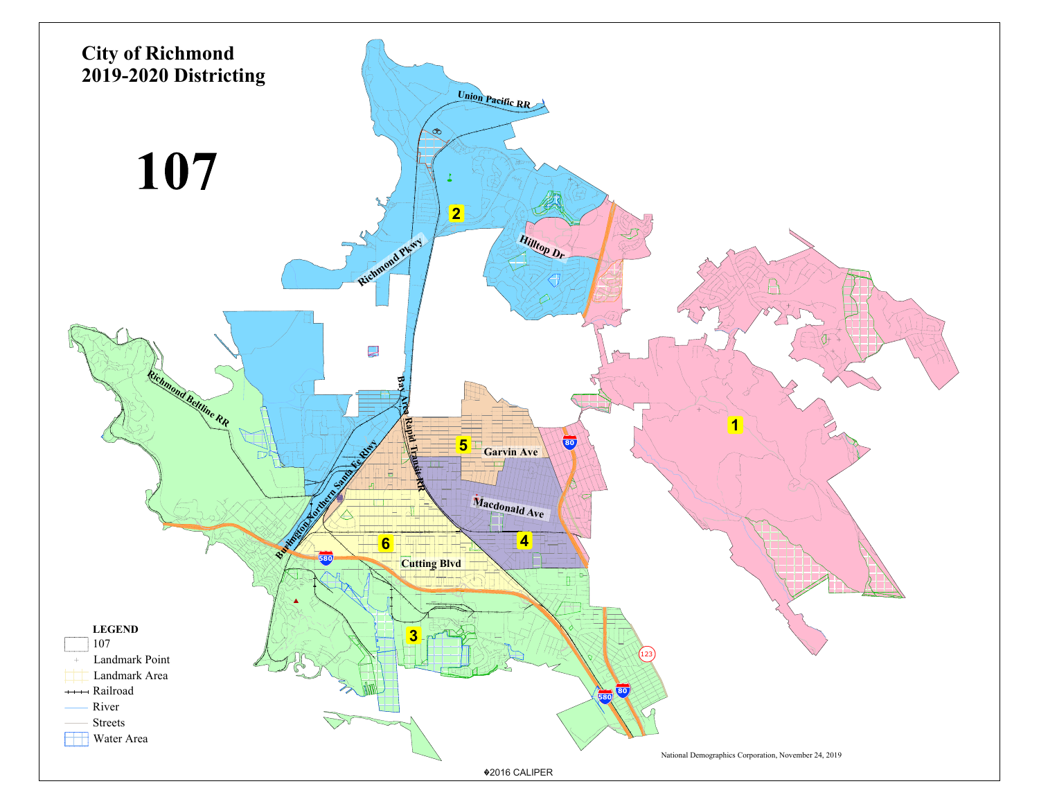